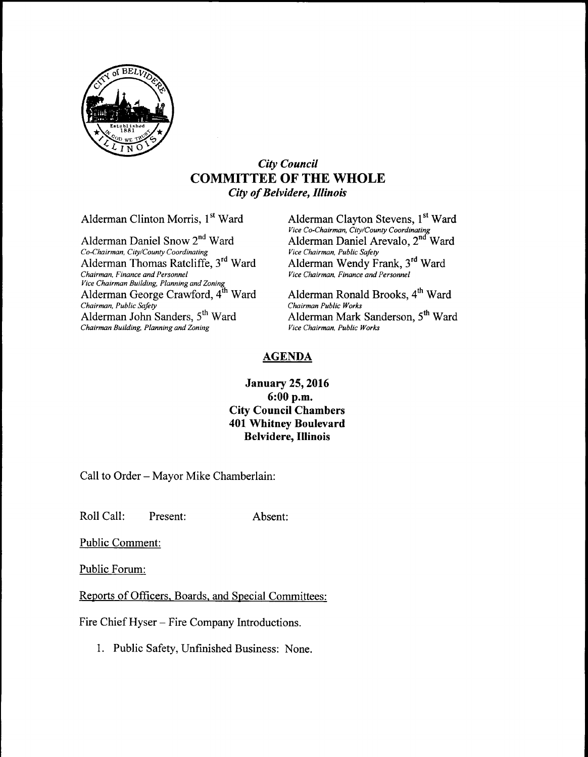

## City Council COMMITTEE OF THE WHOLE City of Belvidere, Illinois

Alderman Daniel Snow 2<sup>nd</sup> Ward Co-Chairman, City/County Coordinating Vice Chairman, Public Safety<br>Alderman Thomas Ratcliffe, 3<sup>rd</sup> Ward Alderman Wendy Frank, 3<sup>rd</sup> Ward Alderman Thomas Ratcliffe, 3<sup>rd</sup> Ward Chairman, Finance and Personnel vice Chairman Building, Planning and Zoning<br>Alderman George Crawford, 4<sup>th</sup> Ward Alderman Ronald Brooks, 4<sup>th</sup> Ward Chairman, Public Safety<br>
Alderman John Sanders, 5<sup>th</sup> Ward<br>
Alderman Mark Chairman Building, Planning and Zoning

Alderman Clinton Morris, 1<sup>st</sup> Ward Alderman Clayton Stevens, 1<sup>st</sup> Ward Vice Co-Chairman, City/County Coordinating<br>Ward **Alderman Daniel Arevalo, 2<sup>nd</sup> Ward** Vice Chairman, Finance and Personnel

Alderman Mark Sanderson, 5<sup>th</sup> Ward Vice Chairman, Public Works

## AGENDA

## January 25, 2016 6: 00 p.m. City Council Chambers 401 Whitney Boulevard Belvidere, Illinois

Call to Order—Mayor Mike Chamberlain:

Roll Call: Present: Absent:

Public Comment:

Public Forum:

Reports of Officers, Boards, and Special Committees:

Fire Chief Hyser—Fire Company Introductions.

1. Public Safety, Unfinished Business: None.